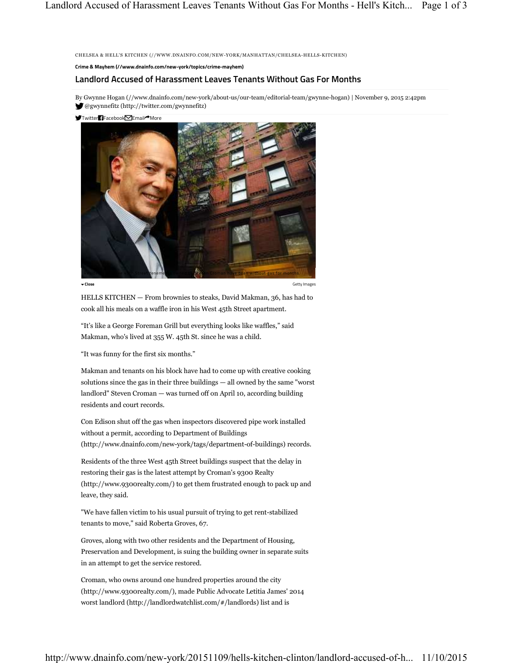CHELSEA & HELL'S KITCHEN (//WWW.DNAINFO.COM/NEW-YORK/MANHATTAN/CHELSEA-HELLS-KITCHEN)

**Crime & Mayhem (//www.dnainfo.com/new-york/topics/crime-mayhem)**

## **Landlord Accused of Harassment Leaves Tenants Without Gas For Months**

By Gwynne Hogan (//www.dnainfo.com/new-york/about-us/our-team/editorial-team/gwynne-hogan) | November 9, 2015 2:42pm @gwynnefitz (http://twitter.com/gwynnefitz)

 $\blacktriangleright$ Twitter $\blacksquare$ Facebook $\blacksquare$ Email $\blacktriangle$ More



**Close** Getty Images

HELLS KITCHEN — From brownies to steaks, David Makman, 36, has had to cook all his meals on a waffle iron in his West 45th Street apartment.

"It's like a George Foreman Grill but everything looks like waffles," said Makman, who's lived at 355 W. 45th St. since he was a child.

"It was funny for the first six months."

Makman and tenants on his block have had to come up with creative cooking solutions since the gas in their three buildings — all owned by the same "worst landlord" Steven Croman — was turned off on April 10, according building residents and court records.

Con Edison shut off the gas when inspectors discovered pipe work installed without a permit, according to Department of Buildings (http://www.dnainfo.com/new-york/tags/department-of-buildings) records.

Residents of the three West 45th Street buildings suspect that the delay in restoring their gas is the latest attempt by Croman's 9300 Realty (http://www.9300realty.com/) to get them frustrated enough to pack up and leave, they said.

"We have fallen victim to his usual pursuit of trying to get rent-stabilized tenants to move," said Roberta Groves, 67.

Groves, along with two other residents and the Department of Housing, Preservation and Development, is suing the building owner in separate suits in an attempt to get the service restored.

Croman, who owns around one hundred properties around the city (http://www.9300realty.com/), made Public Advocate Letitia James' 2014 worst landlord (http://landlordwatchlist.com/#/landlords) list and is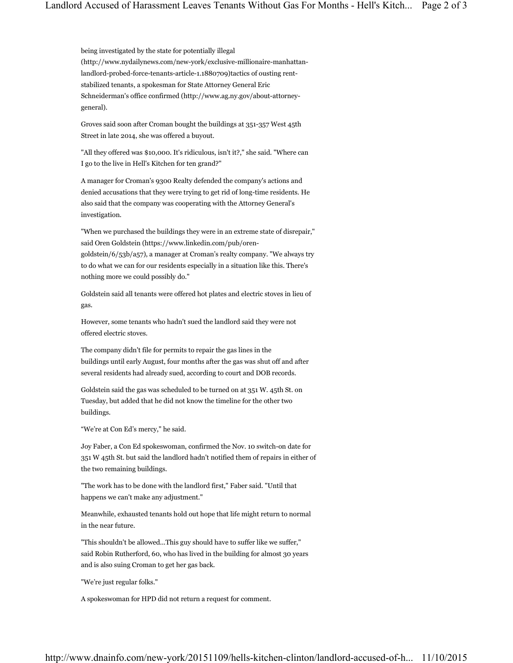being investigated by the state for potentially illegal (http://www.nydailynews.com/new-york/exclusive-millionaire-manhattanlandlord-probed-force-tenants-article-1.1880709)tactics of ousting rentstabilized tenants, a spokesman for State Attorney General Eric Schneiderman's office confirmed (http://www.ag.ny.gov/about-attorneygeneral).

Groves said soon after Croman bought the buildings at 351-357 West 45th Street in late 2014, she was offered a buyout.

"All they offered was \$10,000. It's ridiculous, isn't it?," she said. "Where can I go to the live in Hell's Kitchen for ten grand?"

A manager for Croman's 9300 Realty defended the company's actions and denied accusations that they were trying to get rid of long-time residents. He also said that the company was cooperating with the Attorney General's investigation.

"When we purchased the buildings they were in an extreme state of disrepair," said Oren Goldstein (https://www.linkedin.com/pub/orengoldstein/6/53b/a57), a manager at Croman's realty company. "We always try to do what we can for our residents especially in a situation like this. There's nothing more we could possibly do."

Goldstein said all tenants were offered hot plates and electric stoves in lieu of gas.

However, some tenants who hadn't sued the landlord said they were not offered electric stoves.

The company didn't file for permits to repair the gas lines in the buildings until early August, four months after the gas was shut off and after several residents had already sued, according to court and DOB records.

Goldstein said the gas was scheduled to be turned on at 351 W. 45th St. on Tuesday, but added that he did not know the timeline for the other two buildings.

"We're at Con Ed's mercy," he said.

Joy Faber, a Con Ed spokeswoman, confirmed the Nov. 10 switch-on date for 351 W 45th St. but said the landlord hadn't notified them of repairs in either of the two remaining buildings.

"The work has to be done with the landlord first," Faber said. "Until that happens we can't make any adjustment."

Meanwhile, exhausted tenants hold out hope that life might return to normal in the near future.

"This shouldn't be allowed...This guy should have to suffer like we suffer," said Robin Rutherford, 60, who has lived in the building for almost 30 years and is also suing Croman to get her gas back.

"We're just regular folks."

A spokeswoman for HPD did not return a request for comment.